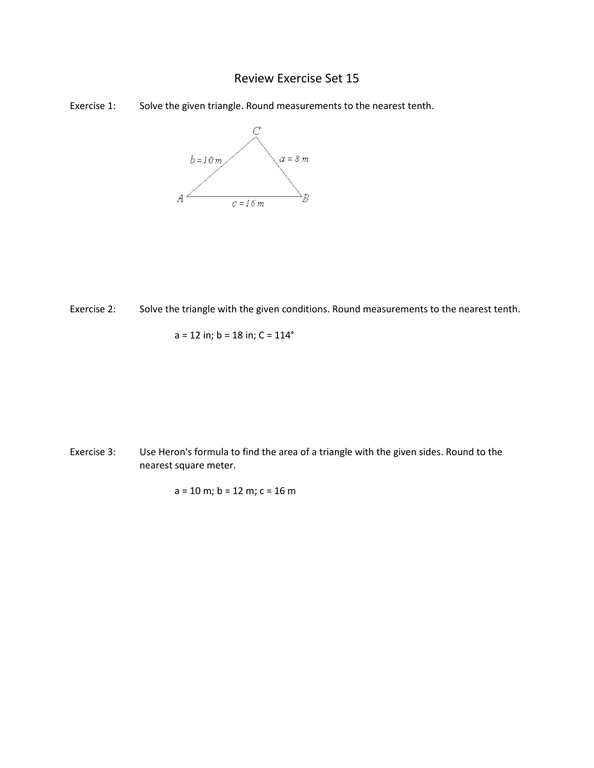## Review Exercise Set 15





Exercise 2: Solve the triangle with the given conditions. Round measurements to the nearest tenth.

$$
a = 12
$$
 in;  $b = 18$  in;  $C = 114^{\circ}$ 

Exercise 3: Use Heron's formula to find the area of a triangle with the given sides. Round to the nearest square meter.

$$
a = 10 \text{ m}; b = 12 \text{ m}; c = 16 \text{ m}
$$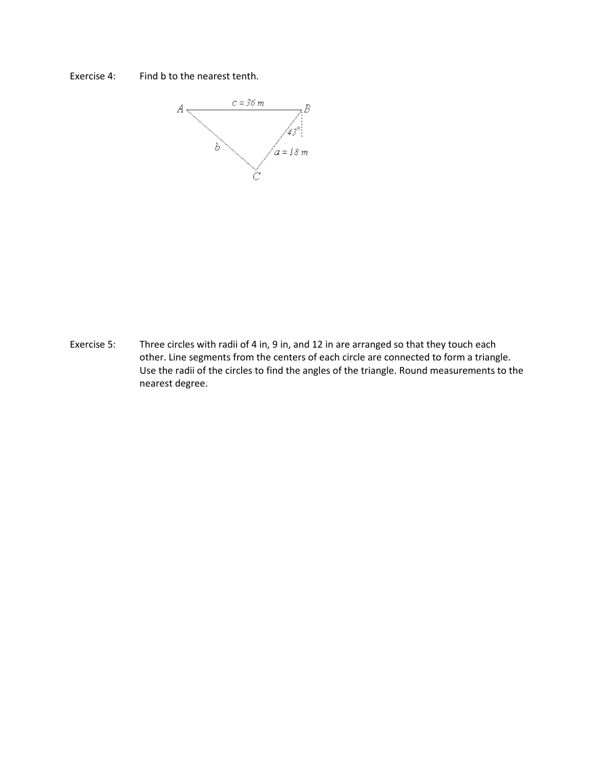



Exercise 5: Three circles with radii of 4 in, 9 in, and 12 in are arranged so that they touch each other. Line segments from the centers of each circle are connected to form a triangle. Use the radii of the circles to find the angles of the triangle. Round measurements to the nearest degree.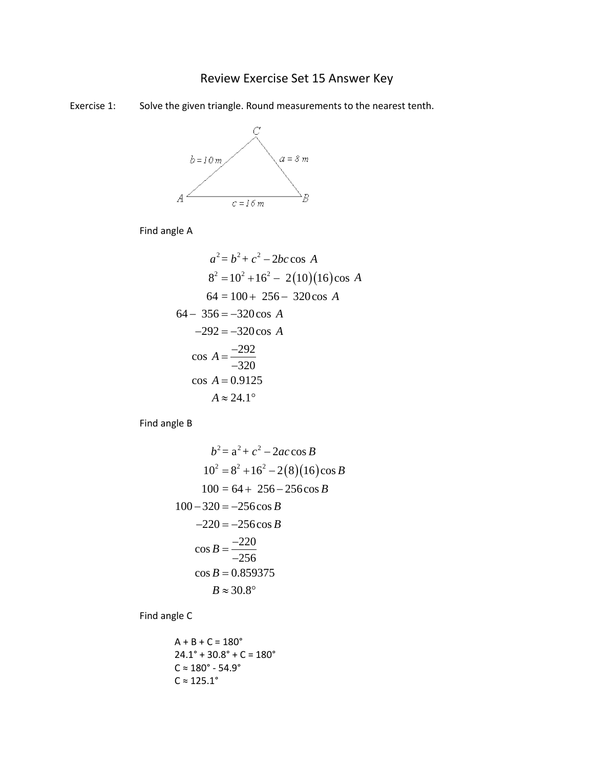## Review Exercise Set 15 Answer Key

Exercise 1: Solve the given triangle. Round measurements to the nearest tenth.



Find angle A

$$
a^{2} = b^{2} + c^{2} - 2bc \cos A
$$
  
\n
$$
8^{2} = 10^{2} + 16^{2} - 2(10)(16) \cos A
$$
  
\n
$$
64 = 100 + 256 - 320 \cos A
$$
  
\n
$$
64 - 356 = -320 \cos A
$$
  
\n
$$
-292 = -320 \cos A
$$
  
\n
$$
\cos A = \frac{-292}{-320}
$$
  
\n
$$
\cos A = 0.9125
$$
  
\n
$$
A \approx 24.1^{\circ}
$$

Find angle B

$$
b^2 = a^2 + c^2 - 2ac \cos B
$$
  
\n
$$
10^2 = 8^2 + 16^2 - 2(8)(16) \cos B
$$
  
\n
$$
100 = 64 + 256 - 256 \cos B
$$
  
\n
$$
100 - 320 = -256 \cos B
$$
  
\n
$$
-220 = -256 \cos B
$$
  
\n
$$
\cos B = \frac{-220}{-256}
$$
  
\n
$$
\cos B = 0.859375
$$
  
\n
$$
B \approx 30.8^\circ
$$

Find angle C

$$
A + B + C = 180^{\circ}
$$
  
24.1° + 30.8° + C = 180°  
C ≈ 180° - 54.9°  
C ≈ 125.1°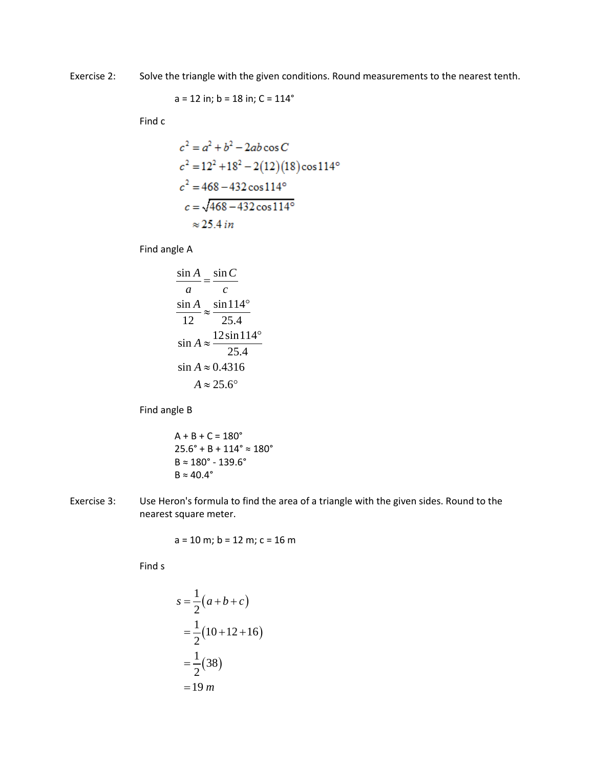Exercise 2: Solve the triangle with the given conditions. Round measurements to the nearest tenth.

$$
a = 12
$$
 in;  $b = 18$  in;  $C = 114^{\circ}$ 

Find c

$$
c2 = a2 + b2 - 2ab \cos C
$$
  
\n
$$
c2 = 122 + 182 - 2(12)(18) \cos 114o
$$
  
\n
$$
c2 = 468 - 432 \cos 114o
$$
  
\n
$$
c = \sqrt{468 - 432 \cos 114o}
$$
  
\n
$$
\approx 25.4 \text{ in}
$$

Find angle A

$$
\frac{\sin A}{a} = \frac{\sin C}{c}
$$
  

$$
\frac{\sin A}{12} \approx \frac{\sin 114^{\circ}}{25.4}
$$
  

$$
\sin A \approx \frac{12 \sin 114^{\circ}}{25.4}
$$
  

$$
\sin A \approx 0.4316
$$
  

$$
A \approx 25.6^{\circ}
$$

Find angle B

$$
A + B + C = 180^{\circ}
$$
  
25.6° + B + 114° ≈ 180°  
B ≈ 180° - 139.6°  
B ≈ 40.4°

Exercise 3: Use Heron's formula to find the area of a triangle with the given sides. Round to the nearest square meter.

$$
a = 10
$$
 m;  $b = 12$  m;  $c = 16$  m

Find s

$$
s = \frac{1}{2}(a+b+c)
$$
  
=  $\frac{1}{2}(10+12+16)$   
=  $\frac{1}{2}(38)$   
= 19 *m*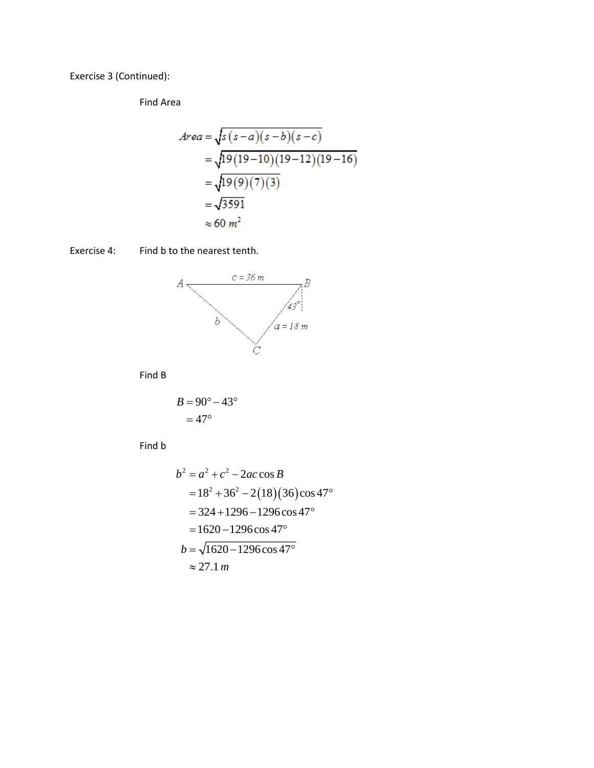Exercise 3 (Continued):

Find Area

$$
Area = \sqrt{s(s-a)(s-b)(s-c)}
$$
  
=  $\sqrt{19(19-10)(19-12)(19-16)}$   
=  $\sqrt{19(9)(7)(3)}$   
=  $\sqrt{3591}$   
 $\approx 60 m^2$ 

Find b to the nearest tenth. Exercise 4:



Find B

$$
B = 90^{\circ} - 43^{\circ}
$$

$$
= 47^{\circ}
$$

Find b

$$
b2 = a2 + c2 - 2ac \cos B
$$
  
= 18<sup>2</sup> + 36<sup>2</sup> - 2(18)(36)cos 47<sup>o</sup>  
= 324 + 1296 - 1296 cos 47<sup>o</sup>  
= 1620 - 1296 cos 47<sup>o</sup>  

$$
b = \sqrt{1620 - 1296 \cos 47o}
$$
  
\approx 27.1 *m*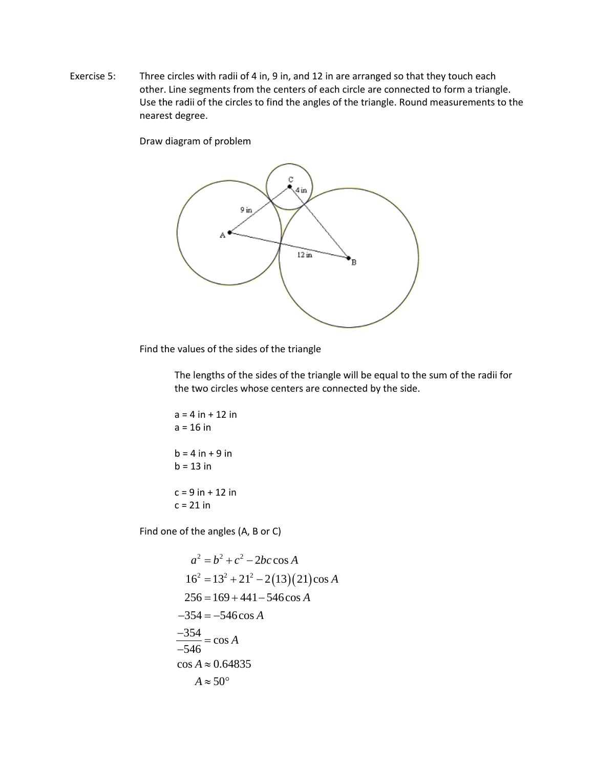Exercise 5: Three circles with radii of 4 in, 9 in, and 12 in are arranged so that they touch each other. Line segments from the centers of each circle are connected to form a triangle. Use the radii of the circles to find the angles of the triangle. Round measurements to the nearest degree.

Draw diagram of problem



Find the values of the sides of the triangle

The lengths of the sides of the triangle will be equal to the sum of the radii for the two circles whose centers are connected by the side.

$$
a = 4 in + 12 in
$$
  
\n
$$
a = 16 in
$$
  
\n
$$
b = 4 in + 9 in
$$
  
\n
$$
b = 13 in
$$
  
\n
$$
c = 9 in + 12 in
$$
  
\n
$$
c = 21 in
$$

Find one of the angles (A, B or C)

$$
a^{2} = b^{2} + c^{2} - 2bc \cos A
$$
  
\n
$$
16^{2} = 13^{2} + 21^{2} - 2(13)(21)\cos A
$$
  
\n
$$
256 = 169 + 441 - 546 \cos A
$$
  
\n
$$
-354 = -546 \cos A
$$
  
\n
$$
\frac{-354}{-546} = \cos A
$$
  
\n
$$
\cos A \approx 0.64835
$$
  
\n
$$
A \approx 50^{\circ}
$$